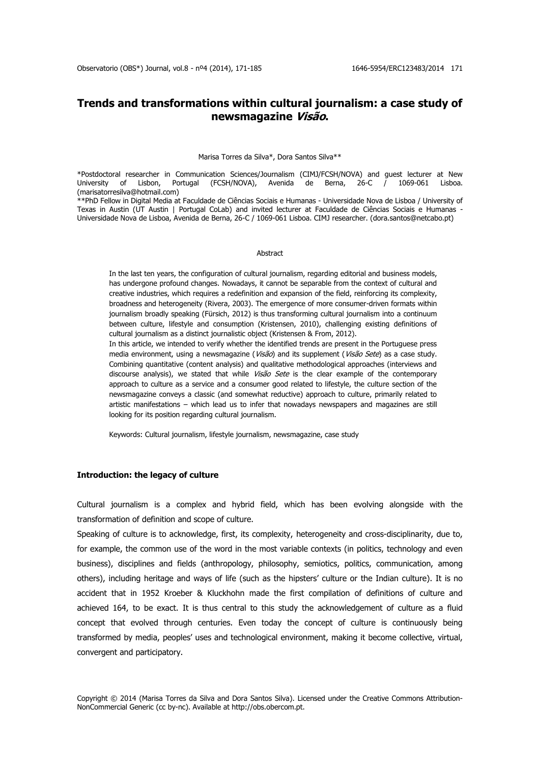# **Trends and transformations within cultural journalism: a case study of newsmagazine Visão.**

#### Marisa Torres da Silva\*, Dora Santos Silva\*\*

\*Postdoctoral researcher in Communication Sciences/Journalism (CIMJ/FCSH/NOVA) and guest lecturer at New University of Lisbon, Portugal (FCSH/NOVA), Avenida de Berna, 26-C / 1069-061 Lisboa. (marisatorresilva@hotmail.com)

\*\*PhD Fellow in Digital Media at Faculdade de Ciências Sociais e Humanas - Universidade Nova de Lisboa / University of Texas in Austin (UT Austin | Portugal CoLab) and invited lecturer at Faculdade de Ciências Sociais e Humanas - Universidade Nova de Lisboa, Avenida de Berna, 26-C / 1069-061 Lisboa. CIMJ researcher. (dora.santos@netcabo.pt)

#### **Abstract**

In the last ten years, the configuration of cultural journalism, regarding editorial and business models, has undergone profound changes. Nowadays, it cannot be separable from the context of cultural and creative industries, which requires a redefinition and expansion of the field, reinforcing its complexity, broadness and heterogeneity (Rivera, 2003). The emergence of more consumer-driven formats within journalism broadly speaking (Fürsich, 2012) is thus transforming cultural journalism into a continuum between culture, lifestyle and consumption (Kristensen, 2010), challenging existing definitions of cultural journalism as a distinct journalistic object (Kristensen & From, 2012).

In this article, we intended to verify whether the identified trends are present in the Portuguese press media environment, using a newsmagazine (Visão) and its supplement (Visão Sete) as a case study. Combining quantitative (content analysis) and qualitative methodological approaches (interviews and discourse analysis), we stated that while  $Vis\tilde{a}o$  Sete is the clear example of the contemporary approach to culture as a service and a consumer good related to lifestyle, the culture section of the newsmagazine conveys a classic (and somewhat reductive) approach to culture, primarily related to artistic manifestations – which lead us to infer that nowadays newspapers and magazines are still looking for its position regarding cultural journalism.

Keywords: Cultural journalism, lifestyle journalism, newsmagazine, case study

# **Introduction: the legacy of culture**

Cultural journalism is a complex and hybrid field, which has been evolving alongside with the transformation of definition and scope of culture.

Speaking of culture is to acknowledge, first, its complexity, heterogeneity and cross-disciplinarity, due to, for example, the common use of the word in the most variable contexts (in politics, technology and even business), disciplines and fields (anthropology, philosophy, semiotics, politics, communication, among others), including heritage and ways of life (such as the hipsters' culture or the Indian culture). It is no accident that in 1952 Kroeber & Kluckhohn made the first compilation of definitions of culture and achieved 164, to be exact. It is thus central to this study the acknowledgement of culture as a fluid concept that evolved through centuries. Even today the concept of culture is continuously being transformed by media, peoples' uses and technological environment, making it become collective, virtual, convergent and participatory.

Copyright © 2014 (Marisa Torres da Silva and Dora Santos Silva). Licensed under the Creative Commons Attribution-NonCommercial Generic (cc by-nc). Available at http://obs.obercom.pt.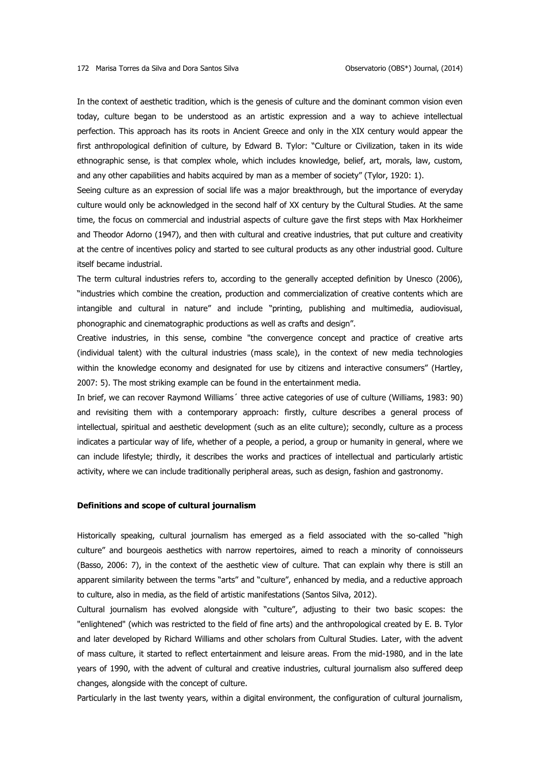In the context of aesthetic tradition, which is the genesis of culture and the dominant common vision even today, culture began to be understood as an artistic expression and a way to achieve intellectual perfection. This approach has its roots in Ancient Greece and only in the XIX century would appear the first anthropological definition of culture, by Edward B. Tylor: "Culture or Civilization, taken in its wide ethnographic sense, is that complex whole, which includes knowledge, belief, art, morals, law, custom, and any other capabilities and habits acquired by man as a member of society" (Tylor, 1920: 1).

Seeing culture as an expression of social life was a major breakthrough, but the importance of everyday culture would only be acknowledged in the second half of XX century by the Cultural Studies. At the same time, the focus on commercial and industrial aspects of culture gave the first steps with Max Horkheimer and Theodor Adorno (1947), and then with cultural and creative industries, that put culture and creativity at the centre of incentives policy and started to see cultural products as any other industrial good. Culture itself became industrial.

The term cultural industries refers to, according to the generally accepted definition by Unesco (2006), "industries which combine the creation, production and commercialization of creative contents which are intangible and cultural in nature" and include "printing, publishing and multimedia, audiovisual, phonographic and cinematographic productions as well as crafts and design".

Creative industries, in this sense, combine "the convergence concept and practice of creative arts (individual talent) with the cultural industries (mass scale), in the context of new media technologies within the knowledge economy and designated for use by citizens and interactive consumers" (Hartley, 2007: 5). The most striking example can be found in the entertainment media.

In brief, we can recover Raymond Williams´ three active categories of use of culture (Williams, 1983: 90) and revisiting them with a contemporary approach: firstly, culture describes a general process of intellectual, spiritual and aesthetic development (such as an elite culture); secondly, culture as a process indicates a particular way of life, whether of a people, a period, a group or humanity in general, where we can include lifestyle; thirdly, it describes the works and practices of intellectual and particularly artistic activity, where we can include traditionally peripheral areas, such as design, fashion and gastronomy.

# **Definitions and scope of cultural journalism**

Historically speaking, cultural journalism has emerged as a field associated with the so-called "high culture" and bourgeois aesthetics with narrow repertoires, aimed to reach a minority of connoisseurs (Basso, 2006: 7), in the context of the aesthetic view of culture. That can explain why there is still an apparent similarity between the terms "arts" and "culture", enhanced by media, and a reductive approach to culture, also in media, as the field of artistic manifestations (Santos Silva, 2012).

Cultural journalism has evolved alongside with "culture", adjusting to their two basic scopes: the "enlightened" (which was restricted to the field of fine arts) and the anthropological created by E. B. Tylor and later developed by Richard Williams and other scholars from Cultural Studies. Later, with the advent of mass culture, it started to reflect entertainment and leisure areas. From the mid-1980, and in the late years of 1990, with the advent of cultural and creative industries, cultural journalism also suffered deep changes, alongside with the concept of culture.

Particularly in the last twenty years, within a digital environment, the configuration of cultural journalism,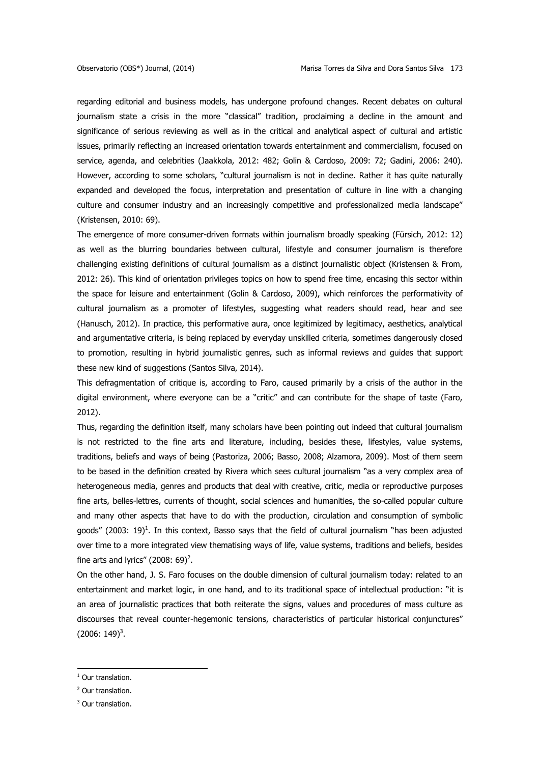regarding editorial and business models, has undergone profound changes. Recent debates on cultural journalism state a crisis in the more "classical" tradition, proclaiming a decline in the amount and significance of serious reviewing as well as in the critical and analytical aspect of cultural and artistic issues, primarily reflecting an increased orientation towards entertainment and commercialism, focused on service, agenda, and celebrities (Jaakkola, 2012: 482; Golin & Cardoso, 2009: 72; Gadini, 2006: 240). However, according to some scholars, "cultural journalism is not in decline. Rather it has quite naturally expanded and developed the focus, interpretation and presentation of culture in line with a changing culture and consumer industry and an increasingly competitive and professionalized media landscape" (Kristensen, 2010: 69).

The emergence of more consumer-driven formats within journalism broadly speaking (Fürsich, 2012: 12) as well as the blurring boundaries between cultural, lifestyle and consumer journalism is therefore challenging existing definitions of cultural journalism as a distinct journalistic object (Kristensen & From, 2012: 26). This kind of orientation privileges topics on how to spend free time, encasing this sector within the space for leisure and entertainment (Golin & Cardoso, 2009), which reinforces the performativity of cultural journalism as a promoter of lifestyles, suggesting what readers should read, hear and see (Hanusch, 2012). In practice, this performative aura, once legitimized by legitimacy, aesthetics, analytical and argumentative criteria, is being replaced by everyday unskilled criteria, sometimes dangerously closed to promotion, resulting in hybrid journalistic genres, such as informal reviews and guides that support these new kind of suggestions (Santos Silva, 2014).

This defragmentation of critique is, according to Faro, caused primarily by a crisis of the author in the digital environment, where everyone can be a "critic" and can contribute for the shape of taste (Faro, 2012).

Thus, regarding the definition itself, many scholars have been pointing out indeed that cultural journalism is not restricted to the fine arts and literature, including, besides these, lifestyles, value systems, traditions, beliefs and ways of being (Pastoriza, 2006; Basso, 2008; Alzamora, 2009). Most of them seem to be based in the definition created by Rivera which sees cultural journalism "as a very complex area of heterogeneous media, genres and products that deal with creative, critic, media or reproductive purposes fine arts, belles-lettres, currents of thought, social sciences and humanities, the so-called popular culture and many other aspects that have to do with the production, circulation and consumption of symbolic goods" (2003: 19)<sup>1</sup>. In this context, Basso says that the field of cultural journalism "has been adjusted over time to a more integrated view thematising ways of life, value systems, traditions and beliefs, besides fine arts and lyrics" (2008: 69)<sup>2</sup>.

On the other hand, J. S. Faro focuses on the double dimension of cultural journalism today: related to an entertainment and market logic, in one hand, and to its traditional space of intellectual production: "it is an area of journalistic practices that both reiterate the signs, values and procedures of mass culture as discourses that reveal counter-hegemonic tensions, characteristics of particular historical conjunctures"  $(2006: 149)^3$ .

1

<sup>&</sup>lt;sup>1</sup> Our translation.

<sup>2</sup> Our translation.

<sup>&</sup>lt;sup>3</sup> Our translation.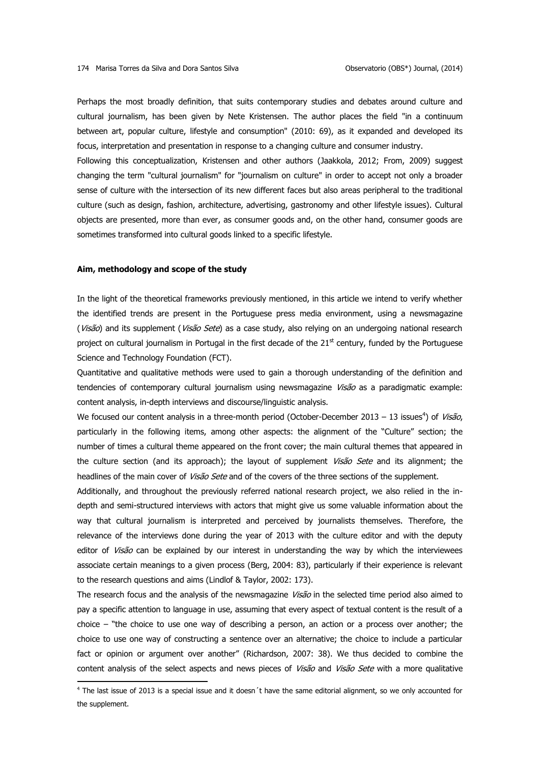Perhaps the most broadly definition, that suits contemporary studies and debates around culture and cultural journalism, has been given by Nete Kristensen. The author places the field "in a continuum between art, popular culture, lifestyle and consumption" (2010: 69), as it expanded and developed its focus, interpretation and presentation in response to a changing culture and consumer industry.

Following this conceptualization, Kristensen and other authors (Jaakkola, 2012; From, 2009) suggest changing the term "cultural journalism" for "journalism on culture" in order to accept not only a broader sense of culture with the intersection of its new different faces but also areas peripheral to the traditional culture (such as design, fashion, architecture, advertising, gastronomy and other lifestyle issues). Cultural objects are presented, more than ever, as consumer goods and, on the other hand, consumer goods are sometimes transformed into cultural goods linked to a specific lifestyle.

## **Aim, methodology and scope of the study**

<u>.</u>

In the light of the theoretical frameworks previously mentioned, in this article we intend to verify whether the identified trends are present in the Portuguese press media environment, using a newsmagazine (Visão) and its supplement (Visão Sete) as a case study, also relying on an undergoing national research project on cultural journalism in Portugal in the first decade of the  $21<sup>st</sup>$  century, funded by the Portuguese Science and Technology Foundation (FCT).

Quantitative and qualitative methods were used to gain a thorough understanding of the definition and tendencies of contemporary cultural journalism using newsmagazine Visão as a paradigmatic example: content analysis, in-depth interviews and discourse/linguistic analysis.

We focused our content analysis in a three-month period (October-December 2013 - 13 issues<sup>4</sup>) of Visão, particularly in the following items, among other aspects: the alignment of the "Culture" section; the number of times a cultural theme appeared on the front cover; the main cultural themes that appeared in the culture section (and its approach); the layout of supplement *Visão Sete* and its alignment; the headlines of the main cover of Visão Sete and of the covers of the three sections of the supplement.

Additionally, and throughout the previously referred national research project, we also relied in the indepth and semi-structured interviews with actors that might give us some valuable information about the way that cultural journalism is interpreted and perceived by journalists themselves. Therefore, the relevance of the interviews done during the year of 2013 with the culture editor and with the deputy editor of Visão can be explained by our interest in understanding the way by which the interviewees associate certain meanings to a given process (Berg, 2004: 83), particularly if their experience is relevant to the research questions and aims (Lindlof & Taylor, 2002: 173).

The research focus and the analysis of the newsmagazine Visão in the selected time period also aimed to pay a specific attention to language in use, assuming that every aspect of textual content is the result of a choice – "the choice to use one way of describing a person, an action or a process over another; the choice to use one way of constructing a sentence over an alternative; the choice to include a particular fact or opinion or argument over another" (Richardson, 2007: 38). We thus decided to combine the content analysis of the select aspects and news pieces of *Visão* and *Visão Sete* with a more qualitative

<sup>&</sup>lt;sup>4</sup> The last issue of 2013 is a special issue and it doesn't have the same editorial alignment, so we only accounted for the supplement.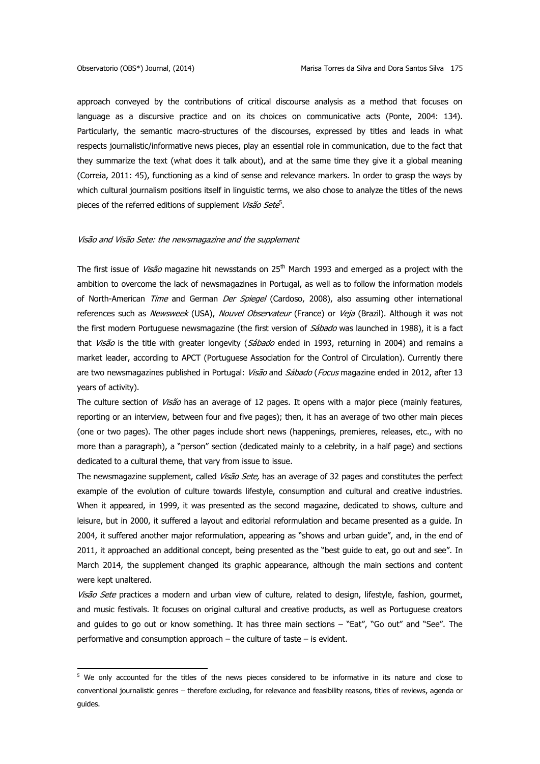1

approach conveyed by the contributions of critical discourse analysis as a method that focuses on language as a discursive practice and on its choices on communicative acts (Ponte, 2004: 134). Particularly, the semantic macro-structures of the discourses, expressed by titles and leads in what respects journalistic/informative news pieces, play an essential role in communication, due to the fact that they summarize the text (what does it talk about), and at the same time they give it a global meaning (Correia, 2011: 45), functioning as a kind of sense and relevance markers. In order to grasp the ways by which cultural journalism positions itself in linguistic terms, we also chose to analyze the titles of the news pieces of the referred editions of supplement Visão Sete<sup>5</sup>.

### Visão and Visão Sete: the newsmagazine and the supplement

The first issue of *Visão* magazine hit newsstands on 25<sup>th</sup> March 1993 and emerged as a project with the ambition to overcome the lack of newsmagazines in Portugal, as well as to follow the information models of North-American Time and German Der Spiegel (Cardoso, 2008), also assuming other international references such as Newsweek (USA), Nouvel Observateur (France) or Veia (Brazil). Although it was not the first modern Portuguese newsmagazine (the first version of Sábado was launched in 1988), it is a fact that *Visão* is the title with greater longevity (Sábado ended in 1993, returning in 2004) and remains a market leader, according to APCT (Portuguese Association for the Control of Circulation). Currently there are two newsmagazines published in Portugal: Visão and Sábado (Focus magazine ended in 2012, after 13 years of activity).

The culture section of *Visão* has an average of 12 pages. It opens with a major piece (mainly features, reporting or an interview, between four and five pages); then, it has an average of two other main pieces (one or two pages). The other pages include short news (happenings, premieres, releases, etc., with no more than a paragraph), a "person" section (dedicated mainly to a celebrity, in a half page) and sections dedicated to a cultural theme, that vary from issue to issue.

The newsmagazine supplement, called Visão Sete, has an average of 32 pages and constitutes the perfect example of the evolution of culture towards lifestyle, consumption and cultural and creative industries. When it appeared, in 1999, it was presented as the second magazine, dedicated to shows, culture and leisure, but in 2000, it suffered a layout and editorial reformulation and became presented as a guide. In 2004, it suffered another major reformulation, appearing as "shows and urban guide", and, in the end of 2011, it approached an additional concept, being presented as the "best guide to eat, go out and see". In March 2014, the supplement changed its graphic appearance, although the main sections and content were kept unaltered.

Visão Sete practices a modern and urban view of culture, related to design, lifestyle, fashion, gourmet, and music festivals. It focuses on original cultural and creative products, as well as Portuguese creators and guides to go out or know something. It has three main sections – "Eat", "Go out" and "See". The performative and consumption approach – the culture of taste – is evident.

<sup>&</sup>lt;sup>5</sup> We only accounted for the titles of the news pieces considered to be informative in its nature and close to conventional journalistic genres – therefore excluding, for relevance and feasibility reasons, titles of reviews, agenda or guides.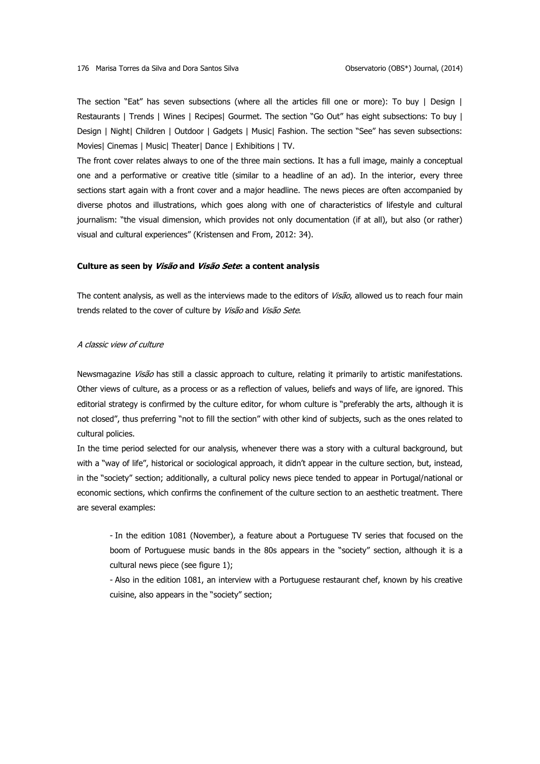The section "Eat" has seven subsections (where all the articles fill one or more): To buy | Design | Restaurants | Trends | Wines | Recipes| Gourmet. The section "Go Out" has eight subsections: To buy | Design | Night| Children | Outdoor | Gadgets | Music| Fashion. The section "See" has seven subsections: Movies| Cinemas | Music| Theater| Dance | Exhibitions | TV.

The front cover relates always to one of the three main sections. It has a full image, mainly a conceptual one and a performative or creative title (similar to a headline of an ad). In the interior, every three sections start again with a front cover and a major headline. The news pieces are often accompanied by diverse photos and illustrations, which goes along with one of characteristics of lifestyle and cultural journalism: "the visual dimension, which provides not only documentation (if at all), but also (or rather) visual and cultural experiences" (Kristensen and From, 2012: 34).

# **Culture as seen by Visão and Visão Sete: a content analysis**

The content analysis, as well as the interviews made to the editors of Visão, allowed us to reach four main trends related to the cover of culture by Visão and Visão Sete.

# A classic view of culture

Newsmagazine Visão has still a classic approach to culture, relating it primarily to artistic manifestations. Other views of culture, as a process or as a reflection of values, beliefs and ways of life, are ignored. This editorial strategy is confirmed by the culture editor, for whom culture is "preferably the arts, although it is not closed", thus preferring "not to fill the section" with other kind of subjects, such as the ones related to cultural policies.

In the time period selected for our analysis, whenever there was a story with a cultural background, but with a "way of life", historical or sociological approach, it didn't appear in the culture section, but, instead, in the "society" section; additionally, a cultural policy news piece tended to appear in Portugal/national or economic sections, which confirms the confinement of the culture section to an aesthetic treatment. There are several examples:

- In the edition 1081 (November), a feature about a Portuguese TV series that focused on the boom of Portuguese music bands in the 80s appears in the "society" section, although it is a cultural news piece (see figure 1);

- Also in the edition 1081, an interview with a Portuguese restaurant chef, known by his creative cuisine, also appears in the "society" section;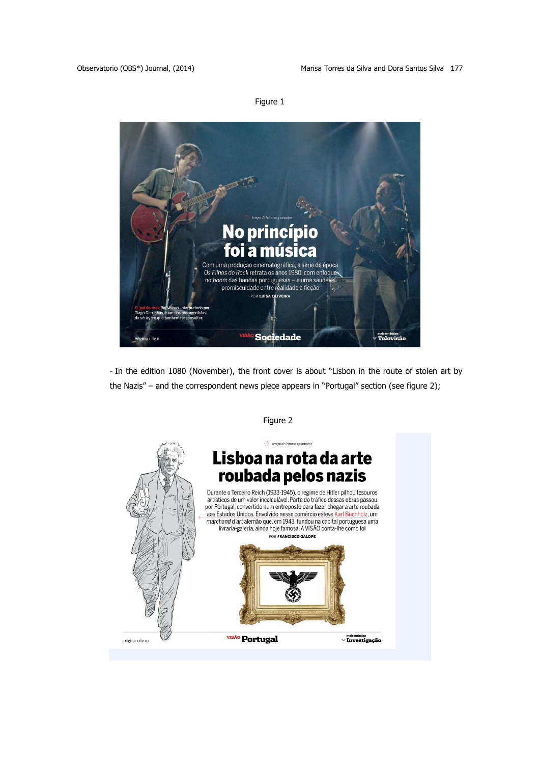



- In the edition 1080 (November), the front cover is about "Lisbon in the route of stolen art by the Nazis" – and the correspondent news piece appears in "Portugal" section (see figure 2);



Figure 2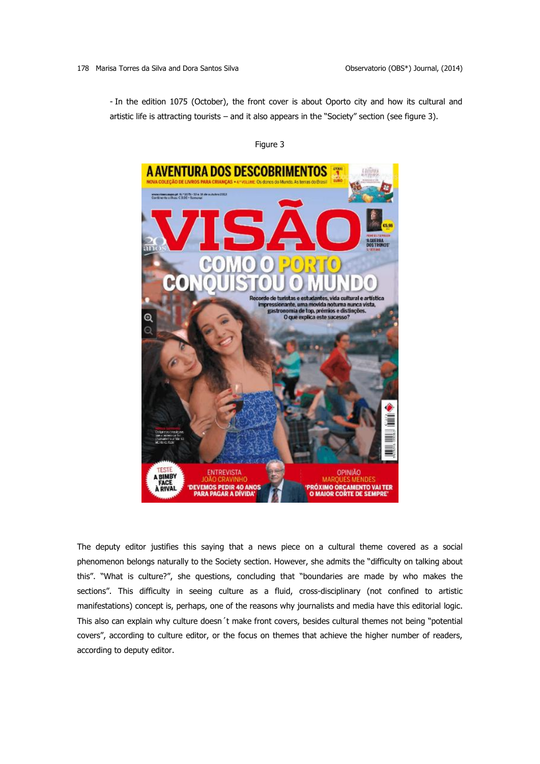- In the edition 1075 (October), the front cover is about Oporto city and how its cultural and artistic life is attracting tourists – and it also appears in the "Society" section (see figure 3).

# Figure 3



The deputy editor justifies this saying that a news piece on a cultural theme covered as a social phenomenon belongs naturally to the Society section. However, she admits the "difficulty on talking about this". "What is culture?", she questions, concluding that "boundaries are made by who makes the sections". This difficulty in seeing culture as a fluid, cross-disciplinary (not confined to artistic manifestations) concept is, perhaps, one of the reasons why journalists and media have this editorial logic. This also can explain why culture doesn´t make front covers, besides cultural themes not being "potential covers", according to culture editor, or the focus on themes that achieve the higher number of readers, according to deputy editor.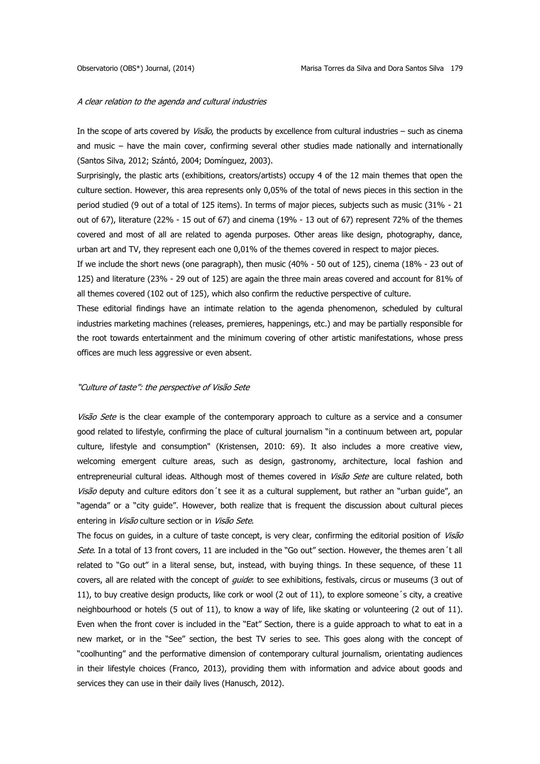# A clear relation to the agenda and cultural industries

In the scope of arts covered by Visão, the products by excellence from cultural industries – such as cinema and music – have the main cover, confirming several other studies made nationally and internationally (Santos Silva, 2012; Szántó, 2004; Domínguez, 2003).

Surprisingly, the plastic arts (exhibitions, creators/artists) occupy 4 of the 12 main themes that open the culture section. However, this area represents only 0,05% of the total of news pieces in this section in the period studied (9 out of a total of 125 items). In terms of major pieces, subjects such as music (31% - 21 out of 67), literature (22% - 15 out of 67) and cinema (19% - 13 out of 67) represent 72% of the themes covered and most of all are related to agenda purposes. Other areas like design, photography, dance, urban art and TV, they represent each one 0,01% of the themes covered in respect to major pieces.

If we include the short news (one paragraph), then music (40% - 50 out of 125), cinema (18% - 23 out of 125) and literature (23% - 29 out of 125) are again the three main areas covered and account for 81% of all themes covered (102 out of 125), which also confirm the reductive perspective of culture.

These editorial findings have an intimate relation to the agenda phenomenon, scheduled by cultural industries marketing machines (releases, premieres, happenings, etc.) and may be partially responsible for the root towards entertainment and the minimum covering of other artistic manifestations, whose press offices are much less aggressive or even absent.

# "Culture of taste": the perspective of Visão Sete

Visão Sete is the clear example of the contemporary approach to culture as a service and a consumer good related to lifestyle, confirming the place of cultural journalism "in a continuum between art, popular culture, lifestyle and consumption" (Kristensen, 2010: 69). It also includes a more creative view, welcoming emergent culture areas, such as design, gastronomy, architecture, local fashion and entrepreneurial cultural ideas. Although most of themes covered in Visão Sete are culture related, both Visão deputy and culture editors don't see it as a cultural supplement, but rather an "urban quide", an "agenda" or a "city guide". However, both realize that is frequent the discussion about cultural pieces entering in Visão culture section or in Visão Sete.

The focus on guides, in a culture of taste concept, is very clear, confirming the editorial position of Visão Sete. In a total of 13 front covers, 11 are included in the "Go out" section. However, the themes aren't all related to "Go out" in a literal sense, but, instead, with buying things. In these sequence, of these 11 covers, all are related with the concept of *guide*: to see exhibitions, festivals, circus or museums (3 out of 11), to buy creative design products, like cork or wool (2 out of 11), to explore someone´s city, a creative neighbourhood or hotels (5 out of 11), to know a way of life, like skating or volunteering (2 out of 11). Even when the front cover is included in the "Eat" Section, there is a guide approach to what to eat in a new market, or in the "See" section, the best TV series to see. This goes along with the concept of "coolhunting" and the performative dimension of contemporary cultural journalism, orientating audiences in their lifestyle choices (Franco, 2013), providing them with information and advice about goods and services they can use in their daily lives (Hanusch, 2012).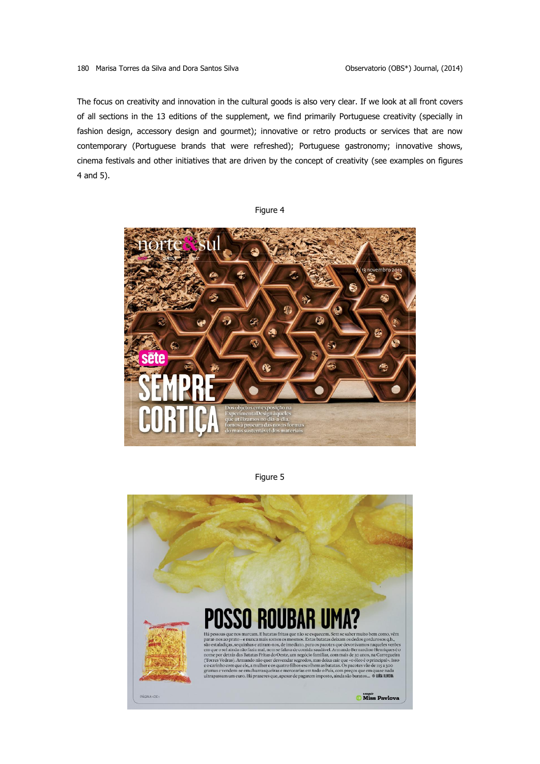The focus on creativity and innovation in the cultural goods is also very clear. If we look at all front covers of all sections in the 13 editions of the supplement, we find primarily Portuguese creativity (specially in fashion design, accessory design and gourmet); innovative or retro products or services that are now contemporary (Portuguese brands that were refreshed); Portuguese gastronomy; innovative shows, cinema festivals and other initiatives that are driven by the concept of creativity (see examples on figures 4 and 5).

Figure 4



Figure 5

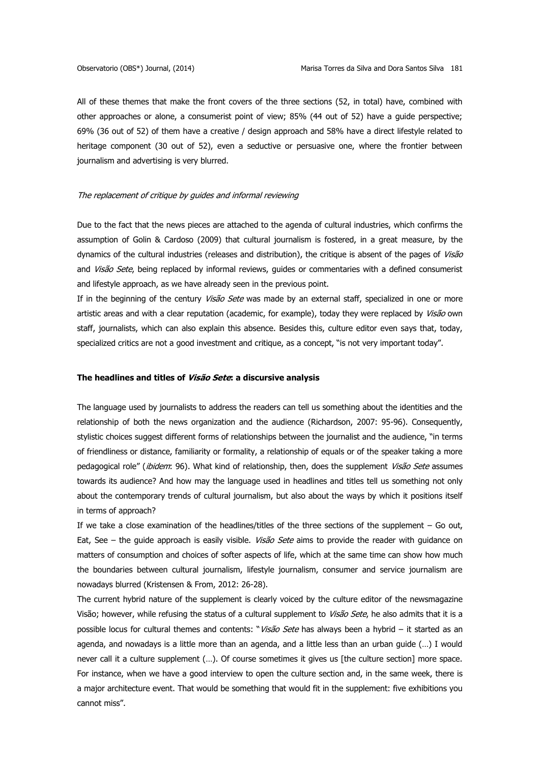All of these themes that make the front covers of the three sections (52, in total) have, combined with other approaches or alone, a consumerist point of view; 85% (44 out of 52) have a guide perspective; 69% (36 out of 52) of them have a creative / design approach and 58% have a direct lifestyle related to heritage component (30 out of 52), even a seductive or persuasive one, where the frontier between journalism and advertising is very blurred.

# The replacement of critique by guides and informal reviewing

Due to the fact that the news pieces are attached to the agenda of cultural industries, which confirms the assumption of Golin & Cardoso (2009) that cultural journalism is fostered, in a great measure, by the dynamics of the cultural industries (releases and distribution), the critique is absent of the pages of Visão and Visão Sete, being replaced by informal reviews, guides or commentaries with a defined consumerist and lifestyle approach, as we have already seen in the previous point.

If in the beginning of the century *Visão Sete* was made by an external staff, specialized in one or more artistic areas and with a clear reputation (academic, for example), today they were replaced by Visão own staff, journalists, which can also explain this absence. Besides this, culture editor even says that, today, specialized critics are not a good investment and critique, as a concept, "is not very important today".

# **The headlines and titles of Visão Sete: a discursive analysis**

The language used by journalists to address the readers can tell us something about the identities and the relationship of both the news organization and the audience (Richardson, 2007: 95-96). Consequently, stylistic choices suggest different forms of relationships between the journalist and the audience, "in terms of friendliness or distance, familiarity or formality, a relationship of equals or of the speaker taking a more pedagogical role" (ibidem: 96). What kind of relationship, then, does the supplement Visão Sete assumes towards its audience? And how may the language used in headlines and titles tell us something not only about the contemporary trends of cultural journalism, but also about the ways by which it positions itself in terms of approach?

If we take a close examination of the headlines/titles of the three sections of the supplement  $-$  Go out, Eat, See - the guide approach is easily visible. Visão Sete aims to provide the reader with guidance on matters of consumption and choices of softer aspects of life, which at the same time can show how much the boundaries between cultural journalism, lifestyle journalism, consumer and service journalism are nowadays blurred (Kristensen & From, 2012: 26-28).

The current hybrid nature of the supplement is clearly voiced by the culture editor of the newsmagazine Visão; however, while refusing the status of a cultural supplement to *Visão Sete*, he also admits that it is a possible locus for cultural themes and contents: "Visão Sete has always been a hybrid – it started as an agenda, and nowadays is a little more than an agenda, and a little less than an urban guide (…) I would never call it a culture supplement (…). Of course sometimes it gives us [the culture section] more space. For instance, when we have a good interview to open the culture section and, in the same week, there is a major architecture event. That would be something that would fit in the supplement: five exhibitions you cannot miss".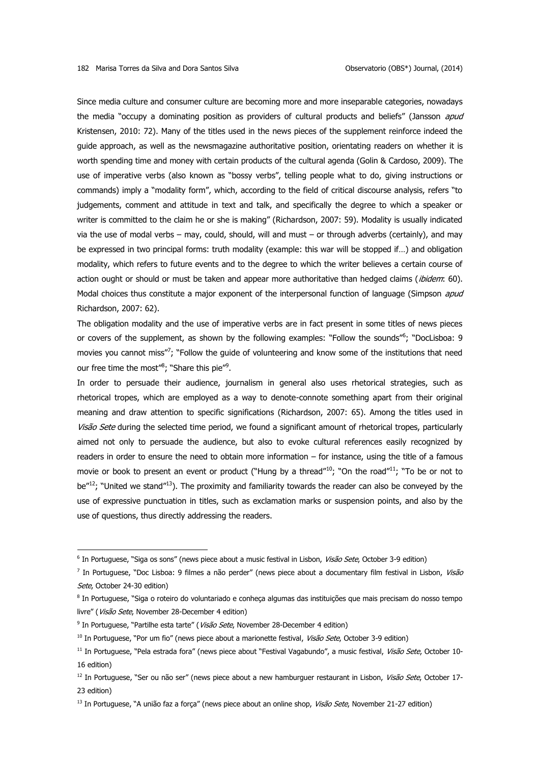Since media culture and consumer culture are becoming more and more inseparable categories, nowadays the media "occupy a dominating position as providers of cultural products and beliefs" (Jansson *apud* Kristensen, 2010: 72). Many of the titles used in the news pieces of the supplement reinforce indeed the guide approach, as well as the newsmagazine authoritative position, orientating readers on whether it is worth spending time and money with certain products of the cultural agenda (Golin & Cardoso, 2009). The use of imperative verbs (also known as "bossy verbs", telling people what to do, giving instructions or commands) imply a "modality form", which, according to the field of critical discourse analysis, refers "to judgements, comment and attitude in text and talk, and specifically the degree to which a speaker or writer is committed to the claim he or she is making" (Richardson, 2007: 59). Modality is usually indicated via the use of modal verbs – may, could, should, will and must – or through adverbs (certainly), and may be expressed in two principal forms: truth modality (example: this war will be stopped if…) and obligation modality, which refers to future events and to the degree to which the writer believes a certain course of action ought or should or must be taken and appear more authoritative than hedged claims (ibidem: 60). Modal choices thus constitute a major exponent of the interpersonal function of language (Simpson *apud* Richardson, 2007: 62).

The obligation modality and the use of imperative verbs are in fact present in some titles of news pieces or covers of the supplement, as shown by the following examples: "Follow the sounds"<sup>6</sup>; "DocLisboa: 9 movies you cannot miss"?; "Follow the guide of volunteering and know some of the institutions that need our free time the most"<sup>8</sup>; "Share this pie"<sup>9</sup>.

In order to persuade their audience, journalism in general also uses rhetorical strategies, such as rhetorical tropes, which are employed as a way to denote-connote something apart from their original meaning and draw attention to specific significations (Richardson, 2007: 65). Among the titles used in Visão Sete during the selected time period, we found a significant amount of rhetorical tropes, particularly aimed not only to persuade the audience, but also to evoke cultural references easily recognized by readers in order to ensure the need to obtain more information – for instance, using the title of a famous movie or book to present an event or product ("Hung by a thread"<sup>10</sup>; "On the road"<sup>11</sup>; "To be or not to be<sup>"12</sup>; "United we stand<sup>"13</sup>). The proximity and familiarity towards the reader can also be conveyed by the use of expressive punctuation in titles, such as exclamation marks or suspension points, and also by the use of questions, thus directly addressing the readers.

<u>.</u>

<sup>&</sup>lt;sup>6</sup> In Portuguese, "Siga os sons" (news piece about a music festival in Lisbon, *Visão Sete*, October 3-9 edition)

<sup>&</sup>lt;sup>7</sup> In Portuguese, "Doc Lisboa: 9 filmes a não perder" (news piece about a documentary film festival in Lisbon, Visão Sete, October 24-30 edition)

<sup>&</sup>lt;sup>8</sup> In Portuguese, "Siga o roteiro do voluntariado e conheça algumas das instituições que mais precisam do nosso tempo livre" (Visão Sete, November 28-December 4 edition)

<sup>&</sup>lt;sup>9</sup> In Portuguese, "Partilhe esta tarte" ( Visão Sete, November 28-December 4 edition)

<sup>&</sup>lt;sup>10</sup> In Portuguese, "Por um fio" (news piece about a marionette festival, Visão Sete, October 3-9 edition)

<sup>&</sup>lt;sup>11</sup> In Portuguese, "Pela estrada fora" (news piece about "Festival Vagabundo", a music festival, Visão Sete, October 10-16 edition)

<sup>&</sup>lt;sup>12</sup> In Portuguese, "Ser ou não ser" (news piece about a new hamburguer restaurant in Lisbon, Visão Sete, October 17-23 edition)

<sup>&</sup>lt;sup>13</sup> In Portuguese, "A união faz a força" (news piece about an online shop, Visão Sete, November 21-27 edition)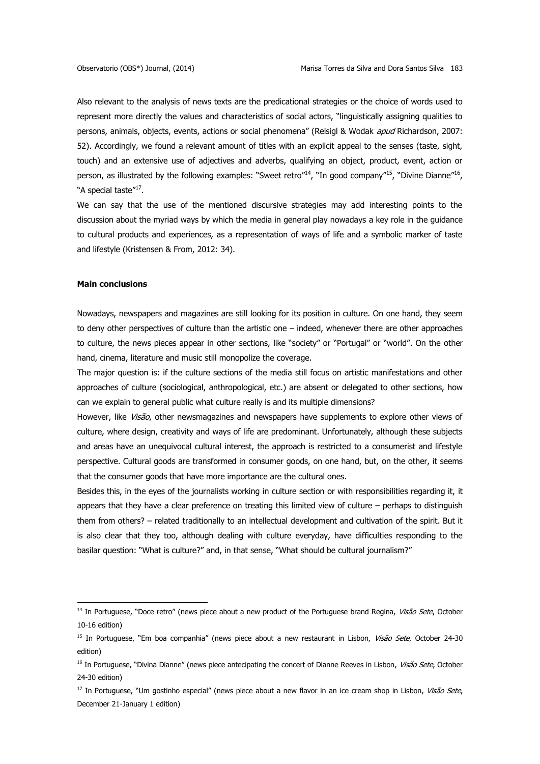Also relevant to the analysis of news texts are the predicational strategies or the choice of words used to represent more directly the values and characteristics of social actors, "linguistically assigning qualities to persons, animals, objects, events, actions or social phenomena" (Reisigl & Wodak *apud* Richardson, 2007: 52). Accordingly, we found a relevant amount of titles with an explicit appeal to the senses (taste, sight, touch) and an extensive use of adjectives and adverbs, qualifying an object, product, event, action or person, as illustrated by the following examples: "Sweet retro"<sup>14</sup>, "In good company"<sup>15</sup>, "Divine Dianne"<sup>16</sup>, "A special taste"<sup>17</sup>.

We can say that the use of the mentioned discursive strategies may add interesting points to the discussion about the myriad ways by which the media in general play nowadays a key role in the guidance to cultural products and experiences, as a representation of ways of life and a symbolic marker of taste and lifestyle (Kristensen & From, 2012: 34).

### **Main conclusions**

<u>.</u>

Nowadays, newspapers and magazines are still looking for its position in culture. On one hand, they seem to deny other perspectives of culture than the artistic one – indeed, whenever there are other approaches to culture, the news pieces appear in other sections, like "society" or "Portugal" or "world". On the other hand, cinema, literature and music still monopolize the coverage.

The major question is: if the culture sections of the media still focus on artistic manifestations and other approaches of culture (sociological, anthropological, etc.) are absent or delegated to other sections, how can we explain to general public what culture really is and its multiple dimensions?

However, like Visão, other newsmagazines and newspapers have supplements to explore other views of culture, where design, creativity and ways of life are predominant. Unfortunately, although these subjects and areas have an unequivocal cultural interest, the approach is restricted to a consumerist and lifestyle perspective. Cultural goods are transformed in consumer goods, on one hand, but, on the other, it seems that the consumer goods that have more importance are the cultural ones.

Besides this, in the eyes of the journalists working in culture section or with responsibilities regarding it, it appears that they have a clear preference on treating this limited view of culture – perhaps to distinguish them from others? – related traditionally to an intellectual development and cultivation of the spirit. But it is also clear that they too, although dealing with culture everyday, have difficulties responding to the basilar question: "What is culture?" and, in that sense, "What should be cultural journalism?"

<sup>&</sup>lt;sup>14</sup> In Portuguese, "Doce retro" (news piece about a new product of the Portuguese brand Regina, Visão Sete, October 10-16 edition)

<sup>&</sup>lt;sup>15</sup> In Portuguese, "Em boa companhia" (news piece about a new restaurant in Lisbon, Visão Sete, October 24-30 edition)

<sup>&</sup>lt;sup>16</sup> In Portuguese, "Divina Dianne" (news piece antecipating the concert of Dianne Reeves in Lisbon, Visão Sete, October 24-30 edition)

<sup>&</sup>lt;sup>17</sup> In Portuguese, "Um gostinho especial" (news piece about a new flavor in an ice cream shop in Lisbon, *Visão Sete,* December 21-January 1 edition)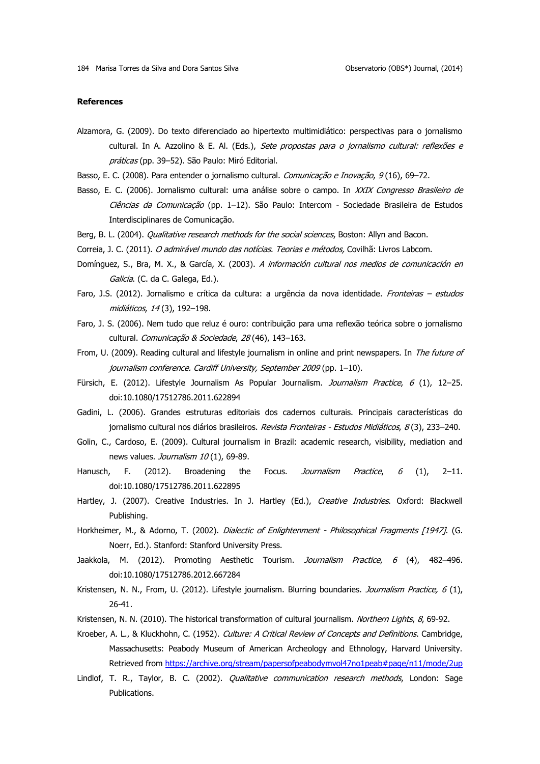### **References**

- Alzamora, G. (2009). Do texto diferenciado ao hipertexto multimidiático: perspectivas para o jornalismo cultural. In A. Azzolino & E. Al. (Eds.), Sete propostas para o jornalismo cultural: reflexões e práticas (pp. 39-52). São Paulo: Miró Editorial.
- Basso, E. C. (2008). Para entender o jornalismo cultural. Comunicação e Inovação, 9 (16), 69-72.
- Basso, E. C. (2006). Jornalismo cultural: uma análise sobre o campo. In XXIX Congresso Brasileiro de Ciências da Comunicação (pp. 1-12). São Paulo: Intercom - Sociedade Brasileira de Estudos Interdisciplinares de Comunicação.
- Berg, B. L. (2004). *Qualitative research methods for the social sciences*, Boston: Allyn and Bacon.
- Correia, J. C. (2011). O admirável mundo das notícias. Teorias e métodos, Covilhã: Livros Labcom.
- Domínguez, S., Bra, M. X., & García, X. (2003). A información cultural nos medios de comunicación en Galicia. (C. da C. Galega, Ed.).
- Faro, J.S. (2012). Jornalismo e crítica da cultura: a urgência da nova identidade. Fronteiras estudos midiáticos, 14 (3), 192–198.
- Faro, J. S. (2006). Nem tudo que reluz é ouro: contribuição para uma reflexão teórica sobre o jornalismo cultural. Comunicação & Sociedade, 28 (46), 143-163.
- From, U. (2009). Reading cultural and lifestyle journalism in online and print newspapers. In The future of journalism conference. Cardiff University, September 2009 (pp. 1–10).
- Fürsich, E. (2012). Lifestyle Journalism As Popular Journalism. Journalism Practice, 6 (1), 12-25. doi:10.1080/17512786.2011.622894
- Gadini, L. (2006). Grandes estruturas editoriais dos cadernos culturais. Principais características do jornalismo cultural nos diários brasileiros. Revista Fronteiras - Estudos Midiáticos, 8(3), 233-240.
- Golin, C., Cardoso, E. (2009). Cultural journalism in Brazil: academic research, visibility, mediation and news values. Journalism 10(1), 69-89.
- Hanusch, F. (2012). Broadening the Focus. Journalism Practice, 6 (1), 2-11. doi:10.1080/17512786.2011.622895
- Hartley, J. (2007). Creative Industries. In J. Hartley (Ed.), Creative Industries. Oxford: Blackwell Publishing.
- Horkheimer, M., & Adorno, T. (2002). Dialectic of Enlightenment Philosophical Fragments [1947]. (G. Noerr, Ed.). Stanford: Stanford University Press.
- Jaakkola, M. (2012). Promoting Aesthetic Tourism. Journalism Practice, 6 (4), 482-496. doi:10.1080/17512786.2012.667284
- Kristensen, N. N., From, U. (2012). Lifestyle journalism. Blurring boundaries. Journalism Practice, 6 (1), 26-41.
- Kristensen, N. N. (2010). The historical transformation of cultural journalism. Northern Lights, 8, 69-92.
- Kroeber, A. L., & Kluckhohn, C. (1952). Culture: A Critical Review of Concepts and Definitions. Cambridge, Massachusetts: Peabody Museum of American Archeology and Ethnology, Harvard University. Retrieved from<https://archive.org/stream/papersofpeabodymvol47no1peab#page/n11/mode/2up>
- Lindlof, T. R., Taylor, B. C. (2002). Qualitative communication research methods, London: Sage Publications.